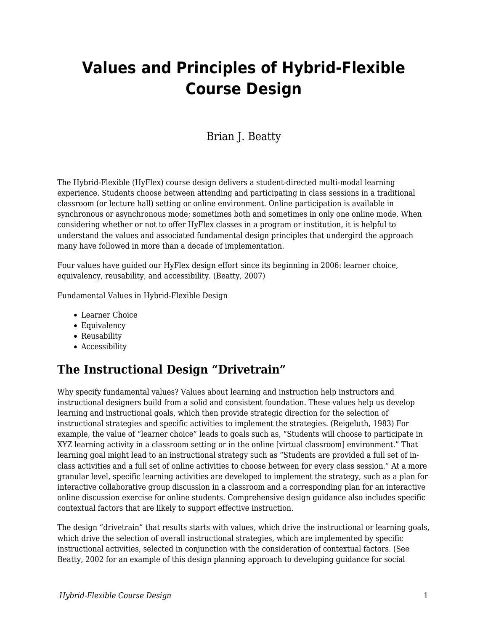# **Values and Principles of Hybrid-Flexible Course Design**

### Brian J. Beatty

The Hybrid-Flexible (HyFlex) course design delivers a student-directed multi-modal learning experience. Students choose between attending and participating in class sessions in a traditional classroom (or lecture hall) setting or online environment. Online participation is available in synchronous or asynchronous mode; sometimes both and sometimes in only one online mode. When considering whether or not to offer HyFlex classes in a program or institution, it is helpful to understand the values and associated fundamental design principles that undergird the approach many have followed in more than a decade of implementation.

Four values have guided our HyFlex design effort since its beginning in 2006: learner choice, equivalency, reusability, and accessibility. (Beatty, 2007)

Fundamental Values in Hybrid-Flexible Design

- Learner Choice
- Equivalency
- Reusability
- Accessibility

### **The Instructional Design "Drivetrain"**

Why specify fundamental values? Values about learning and instruction help instructors and instructional designers build from a solid and consistent foundation. These values help us develop learning and instructional goals, which then provide strategic direction for the selection of instructional strategies and specific activities to implement the strategies. (Reigeluth, 1983) For example, the value of "learner choice" leads to goals such as, "Students will choose to participate in XYZ learning activity in a classroom setting or in the online [virtual classroom] environment." That learning goal might lead to an instructional strategy such as "Students are provided a full set of inclass activities and a full set of online activities to choose between for every class session." At a more granular level, specific learning activities are developed to implement the strategy, such as a plan for interactive collaborative group discussion in a classroom and a corresponding plan for an interactive online discussion exercise for online students. Comprehensive design guidance also includes specific contextual factors that are likely to support effective instruction.

The design "drivetrain" that results starts with values, which drive the instructional or learning goals, which drive the selection of overall instructional strategies, which are implemented by specific instructional activities, selected in conjunction with the consideration of contextual factors. (See Beatty, 2002 for an example of this design planning approach to developing guidance for social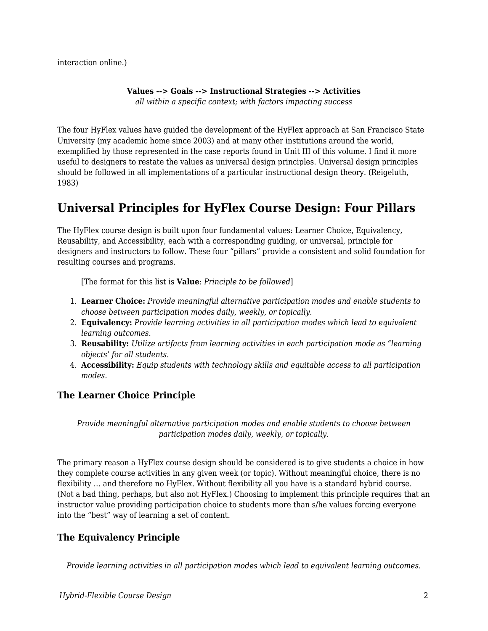interaction online.)

#### **Values --> Goals --> Instructional Strategies --> Activities**

*all within a specific context; with factors impacting success*

The four HyFlex values have guided the development of the HyFlex approach at San Francisco State University (my academic home since 2003) and at many other institutions around the world, exemplified by those represented in the case reports found in Unit III of this volume. I find it more useful to designers to restate the values as universal design principles. Universal design principles should be followed in all implementations of a particular instructional design theory. (Reigeluth, 1983)

## **Universal Principles for HyFlex Course Design: Four Pillars**

The HyFlex course design is built upon four fundamental values: Learner Choice, Equivalency, Reusability, and Accessibility, each with a corresponding guiding, or universal, principle for designers and instructors to follow. These four "pillars" provide a consistent and solid foundation for resulting courses and programs.

[The format for this list is **Value**: *Principle to be followed*]

- 1. **Learner Choice:** *Provide meaningful alternative participation modes and enable students to choose between participation modes daily, weekly, or topically.*
- 2. **Equivalency:** *Provide learning activities in all participation modes which lead to equivalent learning outcomes.*
- 3. **Reusability:** *Utilize artifacts from learning activities in each participation mode as "learning objects' for all students.*
- 4. **Accessibility:** *Equip students with technology skills and equitable access to all participation modes.*

### **The Learner Choice Principle**

*Provide meaningful alternative participation modes and enable students to choose between participation modes daily, weekly, or topically.*

The primary reason a HyFlex course design should be considered is to give students a choice in how they complete course activities in any given week (or topic). Without meaningful choice, there is no flexibility … and therefore no HyFlex. Without flexibility all you have is a standard hybrid course. (Not a bad thing, perhaps, but also not HyFlex.) Choosing to implement this principle requires that an instructor value providing participation choice to students more than s/he values forcing everyone into the "best" way of learning a set of content.

### **The Equivalency Principle**

*Provide learning activities in all participation modes which lead to equivalent learning outcomes.*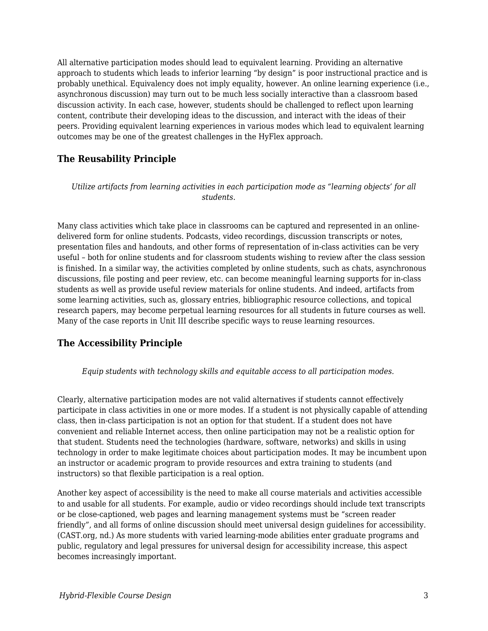All alternative participation modes should lead to equivalent learning. Providing an alternative approach to students which leads to inferior learning "by design" is poor instructional practice and is probably unethical. Equivalency does not imply equality, however. An online learning experience (i.e., asynchronous discussion) may turn out to be much less socially interactive than a classroom based discussion activity. In each case, however, students should be challenged to reflect upon learning content, contribute their developing ideas to the discussion, and interact with the ideas of their peers. Providing equivalent learning experiences in various modes which lead to equivalent learning outcomes may be one of the greatest challenges in the HyFlex approach.

#### **The Reusability Principle**

*Utilize artifacts from learning activities in each participation mode as "learning objects' for all students.* 

Many class activities which take place in classrooms can be captured and represented in an onlinedelivered form for online students. Podcasts, video recordings, discussion transcripts or notes, presentation files and handouts, and other forms of representation of in-class activities can be very useful – both for online students and for classroom students wishing to review after the class session is finished. In a similar way, the activities completed by online students, such as chats, asynchronous discussions, file posting and peer review, etc. can become meaningful learning supports for in-class students as well as provide useful review materials for online students. And indeed, artifacts from some learning activities, such as, glossary entries, bibliographic resource collections, and topical research papers, may become perpetual learning resources for all students in future courses as well. Many of the case reports in Unit III describe specific ways to reuse learning resources.

### **The Accessibility Principle**

*Equip students with technology skills and equitable access to all participation modes.* 

Clearly, alternative participation modes are not valid alternatives if students cannot effectively participate in class activities in one or more modes. If a student is not physically capable of attending class, then in-class participation is not an option for that student. If a student does not have convenient and reliable Internet access, then online participation may not be a realistic option for that student. Students need the technologies (hardware, software, networks) and skills in using technology in order to make legitimate choices about participation modes. It may be incumbent upon an instructor or academic program to provide resources and extra training to students (and instructors) so that flexible participation is a real option.

Another key aspect of accessibility is the need to make all course materials and activities accessible to and usable for all students. For example, audio or video recordings should include text transcripts or be close-captioned, web pages and learning management systems must be "screen reader friendly", and all forms of online discussion should meet universal design guidelines for accessibility. (CAST.org, nd.) As more students with varied learning-mode abilities enter graduate programs and public, regulatory and legal pressures for universal design for accessibility increase, this aspect becomes increasingly important.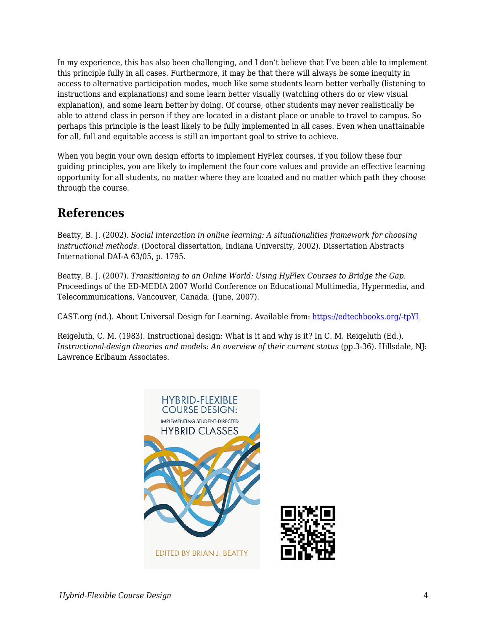In my experience, this has also been challenging, and I don't believe that I've been able to implement this principle fully in all cases. Furthermore, it may be that there will always be some inequity in access to alternative participation modes, much like some students learn better verbally (listening to instructions and explanations) and some learn better visually (watching others do or view visual explanation), and some learn better by doing. Of course, other students may never realistically be able to attend class in person if they are located in a distant place or unable to travel to campus. So perhaps this principle is the least likely to be fully implemented in all cases. Even when unattainable for all, full and equitable access is still an important goal to strive to achieve.

When you begin your own design efforts to implement HyFlex courses, if you follow these four guiding principles, you are likely to implement the four core values and provide an effective learning opportunity for all students, no matter where they are lcoated and no matter which path they choose through the course.

### **References**

Beatty, B. J. (2002). *Social interaction in online learning: A situationalities framework for choosing instructional methods.* (Doctoral dissertation, Indiana University, 2002). Dissertation Abstracts International DAI-A 63/05, p. 1795.

Beatty, B. J. (2007). *Transitioning to an Online World: Using HyFlex Courses to Bridge the Gap.* Proceedings of the ED-MEDIA 2007 World Conference on Educational Multimedia, Hypermedia, and Telecommunications, Vancouver, Canada. (June, 2007).

CAST.org (nd.). About Universal Design for Learning. Available from: [https://edtechbooks.org/-tpYI](http://www.cast.org/our-work/about-udl.html#.XaTdmy2ZN24)

Reigeluth, C. M. (1983). Instructional design: What is it and why is it? In C. M. Reigeluth (Ed.), *Instructional-design theories and models: An overview of their current status* (pp.3-36). Hillsdale, NJ: Lawrence Erlbaum Associates.